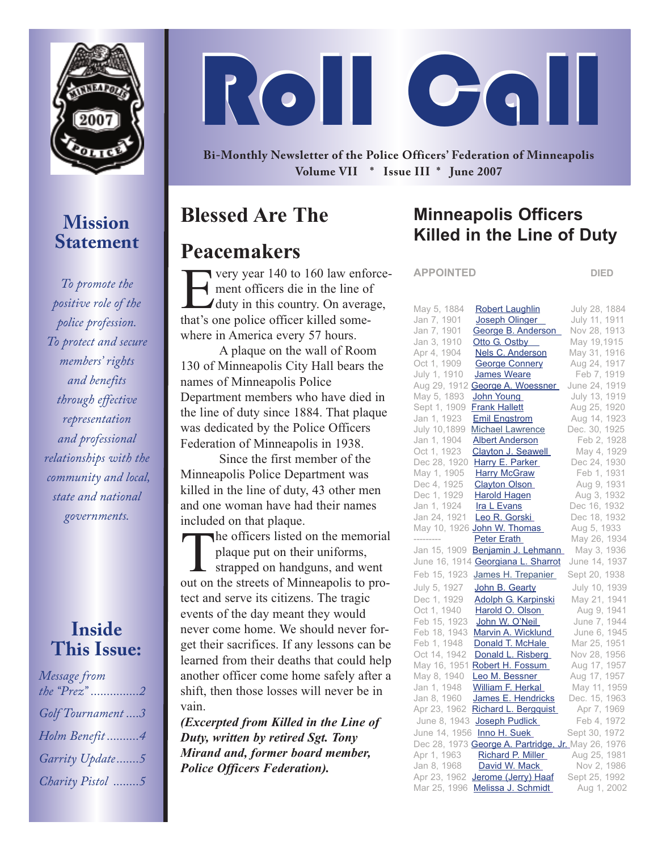

## **Mission Statement**

*To promote the positive role of the police profession. To protect and secure members' rights and benefits through effective representation and professional relationships with the community and local, state and national governments.*

#### **Inside This Issue:**

| Message from     |
|------------------|
| the $Prez$ "2    |
|                  |
| Golf Tournament3 |
|                  |
| Holm Benefit4    |
| Garrity Update5  |
|                  |
| Charity Pistol 5 |
|                  |

# Roll Call

**Bi-Monthly Newsletter of the Police Officers' Federation of Minneapolis Volume VII \* Issue III \* June 2007**

# **Blessed Are The**

## **Peacemakers**

**T** very year 140 to 160 law enforcement officers die in the line of duty in this country. On average, that's one police officer killed somewhere in America every 57 hours.

A plaque on the wall of Room 130 of Minneapolis City Hall bears the names of Minneapolis Police Department members who have died in the line of duty since 1884. That plaque was dedicated by the Police Officers Federation of Minneapolis in 1938.

Since the first member of the Minneapolis Police Department was killed in the line of duty, 43 other men and one woman have had their names included on that plaque.

The officers listed on the memorial<br>plaque put on their uniforms,<br>strapped on handguns, and went<br>out on the streets of Minneapolis to proplaque put on their uniforms, strapped on handguns, and went out on the streets of Minneapolis to protect and serve its citizens. The tragic events of the day meant they would never come home. We should never forget their sacrifices. If any lessons can be learned from their deaths that could help another officer come home safely after a shift, then those losses will never be in vain.

*(Excerpted from Killed in the Line of Duty, written by retired Sgt. Tony Mirand and, former board member, Police Officers Federation).*

## **Minneapolis Officers Killed in the Line of Duty**

**APPOINTED DIED**

| May 5, 1884<br><b>Robert Laughlin</b>              | July 28, 1884 |
|----------------------------------------------------|---------------|
| Jan 7, 1901<br>Joseph Olinger                      | July 11, 1911 |
| Jan 7, 1901<br>George B. Anderson                  | Nov 28, 1913  |
| Jan 3, 1910<br>Otto G. Ostby                       | May 19,1915   |
| Apr 4, 1904<br><b>Nels C. Anderson</b>             | May 31, 1916  |
| Oct 1, 1909<br><b>George Connery</b>               | Aug 24, 1917  |
| July 1, 1910<br>James Weare                        | Feb 7, 1919   |
| Aug 29, 1912<br>George A. Woessner                 | June 24, 1919 |
| May 5, 1893<br>John Young                          | July 13, 1919 |
| Sept 1, 1909<br><b>Frank Hallett</b>               | Aug 25, 1920  |
| Jan 1, 1923<br><b>Emil Engstrom</b>                | Aug 14, 1923  |
| July 10,1899<br><b>Michael Lawrence</b>            | Dec. 30, 1925 |
| Jan 1, 1904<br><b>Albert Anderson</b>              | Feb 2, 1928   |
| Oct 1, 1923<br>Clayton J. Seawell                  | May 4, 1929   |
| Dec 28, 1920<br>Harry E. Parker                    | Dec 24, 1930  |
| May 1, 1905<br><b>Harry McGraw</b>                 | Feb 1, 1931   |
| Dec 4, 1925<br><b>Clayton Olson</b>                | Aug 9, 1931   |
| Dec 1, 1929<br><b>Harold Hagen</b>                 | Aug 3, 1932   |
| Jan 1, 1924<br>Ira L Evans                         | Dec 16, 1932  |
| Jan 24, 1921<br>Leo R. Gorski                      | Dec 18, 1932  |
| May 10, 1926 John W. Thomas                        | Aug 5, 1933   |
| ---------<br><b>Peter Erath</b>                    | May 26, 1934  |
| Jan 15, 1909<br>Benjamin J. Lehmann                | May 3, 1936   |
| June 16, 1914 Georgiana L. Sharrot                 | June 14, 1937 |
| Feb 15, 1923<br>James H. Trepanier                 | Sept 20, 1938 |
| July 5, 1927<br>John B. Gearty                     | July 10, 1939 |
| Dec 1, 1929<br>Adolph G. Karpinski                 | May 21, 1941  |
| Oct 1, 1940<br>Harold O. Olson                     | Aug 9, 1941   |
| Feb 15, 1923<br>John W. O'Neil                     | June 7, 1944  |
| Feb 18, 1943<br>Marvin A. Wicklund                 | June 6, 1945  |
| Feb 1, 1948<br>Donald T. McHale                    | Mar 25, 1951  |
| Oct 14, 1942<br>Donald L. Risberg                  | Nov 28, 1956  |
| May 16, 1951<br>Robert H. Fossum                   | Aug 17, 1957  |
| May 8, 1940<br>Leo M. Bessner                      | Aug 17, 1957  |
| Jan 1, 1948<br><b>William F. Herkal</b>            | May 11, 1959  |
| Jan 8, 1960<br>James E. Hendricks                  | Dec. 15, 1963 |
| Apr 23, 1962<br>Richard L. Bergquist               | Apr 7, 1969   |
| June 8, 1943<br>Joseph Pudlick                     | Feb 4, 1972   |
| June 14, 1956<br>Inno H. Suek                      | Sept 30, 1972 |
| Dec 28, 1973 George A. Partridge, Jr. May 26, 1976 |               |
| Apr 1, 1963<br>Richard P. Miller                   | Aug 25, 1981  |
| Jan 8, 1968<br>David W. Mack                       | Nov 2, 1986   |
| Apr 23, 1962<br>Jerome (Jerry) Haaf                | Sept 25, 1992 |
| Mar 25, 1996<br>Melissa J. Schmidt                 | Aug 1, 2002   |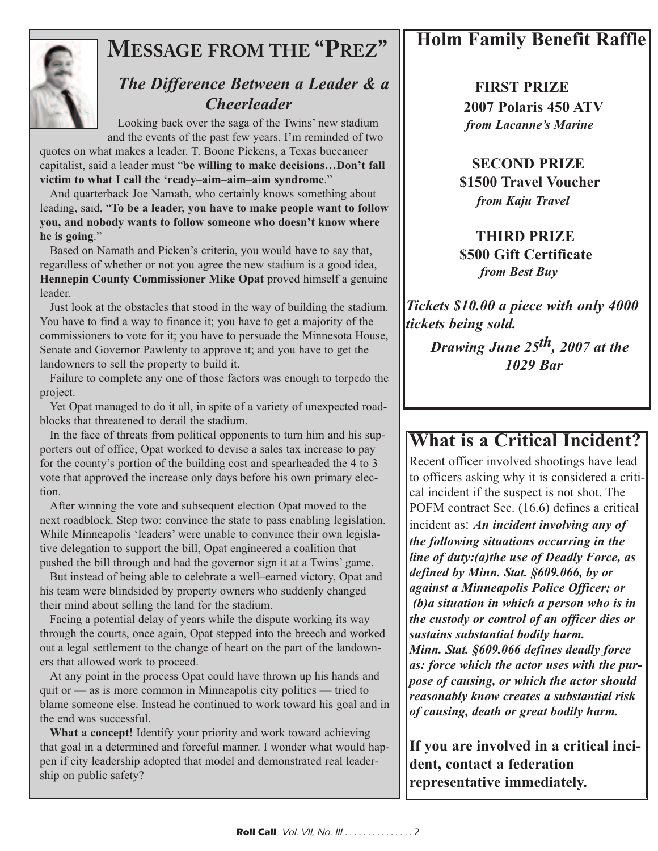

# **MESSAGE FROM THE "PREZ"**

#### *The Difference Between a Leader & a Cheerleader*

Looking back over the saga of the Twins' new stadium and the events of the past few years, I'm reminded of two

quotes on what makes a leader. T. Boone Pickens, a Texas buccaneer capitalist, said a leader must "**be willing to make decisions…Don't fall victim to what I call the 'ready–aim–aim–aim syndrome**."

And quarterback Joe Namath, who certainly knows something about leading, said, "**To be a leader, you have to make people want to follow you, and nobody wants to follow someone who doesn't know where he is going**."

Based on Namath and Picken's criteria, you would have to say that, regardless of whether or not you agree the new stadium is a good idea, **Hennepin County Commissioner Mike Opat** proved himself a genuine leader.

Just look at the obstacles that stood in the way of building the stadium. You have to find a way to finance it; you have to get a majority of the commissioners to vote for it; you have to persuade the Minnesota House, Senate and Governor Pawlenty to approve it; and you have to get the landowners to sell the property to build it.

Failure to complete any one of those factors was enough to torpedo the project.

Yet Opat managed to do it all, in spite of a variety of unexpected roadblocks that threatened to derail the stadium.

In the face of threats from political opponents to turn him and his supporters out of office, Opat worked to devise a sales tax increase to pay for the county's portion of the building cost and spearheaded the 4 to 3 vote that approved the increase only days before his own primary election.

After winning the vote and subsequent election Opat moved to the next roadblock. Step two: convince the state to pass enabling legislation. While Minneapolis 'leaders' were unable to convince their own legislative delegation to support the bill, Opat engineered a coalition that pushed the bill through and had the governor sign it at a Twins' game.

But instead of being able to celebrate a well–earned victory, Opat and his team were blindsided by property owners who suddenly changed their mind about selling the land for the stadium.

Facing a potential delay of years while the dispute working its way through the courts, once again, Opat stepped into the breech and worked out a legal settlement to the change of heart on the part of the landowners that allowed work to proceed.

At any point in the process Opat could have thrown up his hands and quit or  $\frac{1}{2}$  as is more common in Minneapolis city politics  $\frac{1}{2}$  tried to blame someone else. Instead he continued to work toward his goal and in the end was successful.

**What a concept!** Identify your priority and work toward achieving that goal in a determined and forceful manner. I wonder what would happen if city leadership adopted that model and demonstrated real leadership on public safety?

# **Holm Family Benefit Raffle**

**FIRST PRIZE 2007 Polaris 450 ATV** *from Lacanne's Marine*

#### **SECOND PRIZE \$1500 Travel Voucher** *from Kaju Travel*

#### **THIRD PRIZE \$500 Gift Certificate** *from Best Buy*

*Tickets \$10.00 a piece with only 4000 tickets being sold.*

*Drawing June 25th, 2007 at the 1029 Bar*

## **What is a Critical Incident?**

Recent officer involved shootings have lead to officers asking why it is considered a critical incident if the suspect is not shot. The POFM contract Sec. (16.6) defines a critical

incident as: *An incident involving any of the following situations occurring in the line of duty:(a)the use of Deadly Force, as defined by Minn. Stat. §609.066, by or against a Minneapolis Police Officer; or (b)a situation in which a person who is in the custody or control of an officer dies or sustains substantial bodily harm. Minn. Stat. §609.066 defines deadly force as: force which the actor uses with the purpose of causing, or which the actor should reasonably know creates a substantial risk of causing, death or great bodily harm.*

**If you are involved in a critical incident, contact a federation representative immediately.**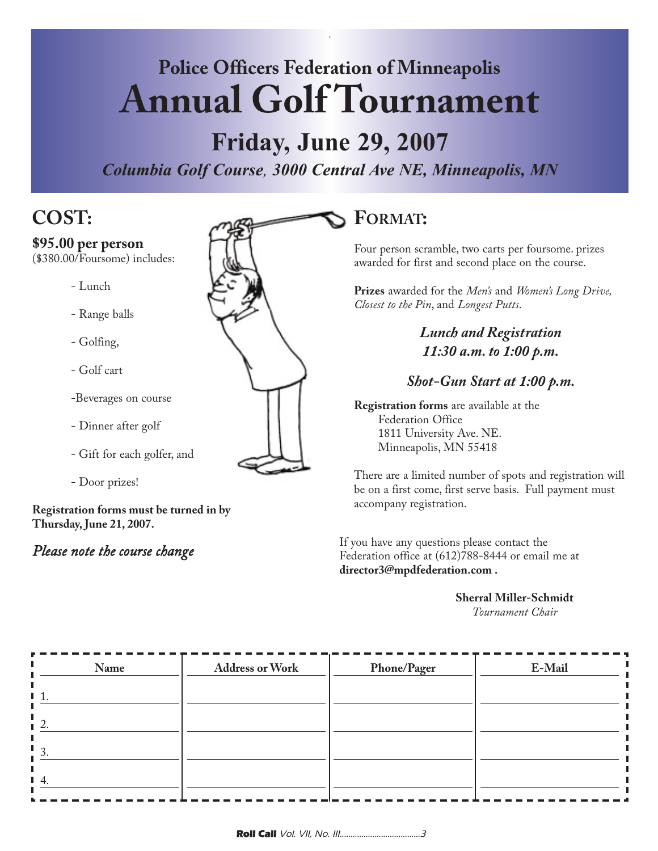# **Police Officers Federation of Minneapolis Annual Golf Tournament**

.

# **Friday, June 29, 2007**

*Columbia Golf Course, 3000 Central Ave NE, Minneapolis, MN*

# **COST:**

#### **\$95.00 per person**

(\$380.00/Foursome) includes:

- Lunch
- Range balls
- Golfing,
- Golf cart
- -Beverages on course
- Dinner after golf
- Gift for each golfer, and
- Door prizes!

**Registration forms must be turned in by Thursday, June 21, 2007.**

#### *Please note the course change*



#### **FORMAT:**

Four person scramble, two carts per foursome. prizes awarded for first and second place on the course.

**Prizes** awarded for the *Men's* and *Women's Long Drive, Closest to the Pin*, and *Longest Putts*.

> *Lunch and Registration 11:30 a.m. to 1:00 p.m.*

#### *Shot-Gun Start at 1:00 p.m.*

**Registration forms** are available at the Federation Office 1811 University Ave. NE. Minneapolis, MN 55418

There are a limited number of spots and registration will be on a first come, first serve basis. Full payment must accompany registration.

If you have any questions please contact the Federation office at (612)788-8444 or email me at **director3@mpdfederation.com .**

#### **Sherral Miller-Schmidt**

*Tournament Chair*

| Name         | <b>Address or Work</b> | <b>Phone/Pager</b> | E-Mail |
|--------------|------------------------|--------------------|--------|
|              |                        |                    |        |
|              |                        |                    |        |
| $\mathbf{r}$ |                        |                    |        |
|              |                        |                    |        |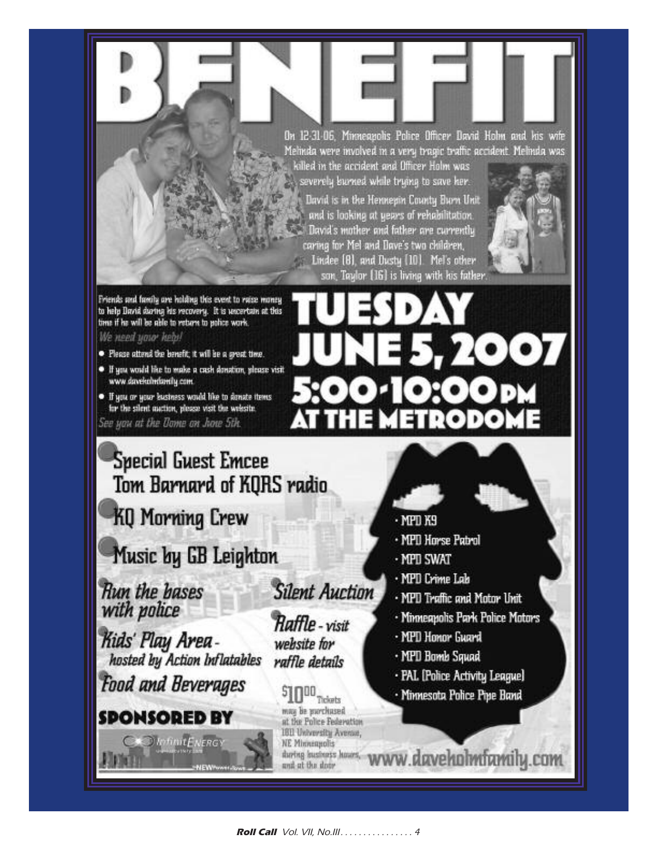On 12-31-06, Minneapolis Police Officer David Holm and his wife Melinda were involved in a very tragic traffic accident. Melinda was killed in the accident and Officer Holm was

severely burned while trying to save her. David is in the Hennepin County Burn Unit and is looking at years of rehabilitation. David's mother and father are currently caring for MeI and Dave's two children, Lindee [8], and Dusty [10]. Mel's other son, Taylor [16] is living with his father



7007

Friends and family are holding this event to raise money to help David during his vecovery. It is uncertain at this time if he will be able to return to police work. We need your head

- 
- · Please attend the benefit; it will be a great time.
- · If you would like to make a cash donation, please visit www.davekohndantly.com.
- If you or your business would like to donate items for the silent mation, please visit the website.

See you at the Dome on June 5th.

# **Special Guest Emcee** Tom Barnard of KORS radio

**KQ Morning Crew** 

# Music by GB Leighton

**Run the bases** with police

Kids' Play Areahosted by Action Inflatables

**Food and Beverages** 

# **SPONSORED BY**

**O** InfinitENERGY

**Silent Auction** 

**Raffle** - visit website for raffle details

# $S$ <sup>100</sup> Tickets

may be purchased at the Police Federation **1611 University Avenue, NE Minnequolis** and at the door

- $·$  MPD K9
- · MPD Horse Patrol

**METRODOI** 

- MPD SWAT
- · MPD Crime Lab
- . MPD Traffic and Motor Unit
- · Minneapolis Park Police Motors
- · MPD Honor Guard
- · MPD Bomb Squad
- · PAL [Police Activity League]
- Minnesota Police Pipe Band

thring institutes hours. WWW.daveholmfamily.com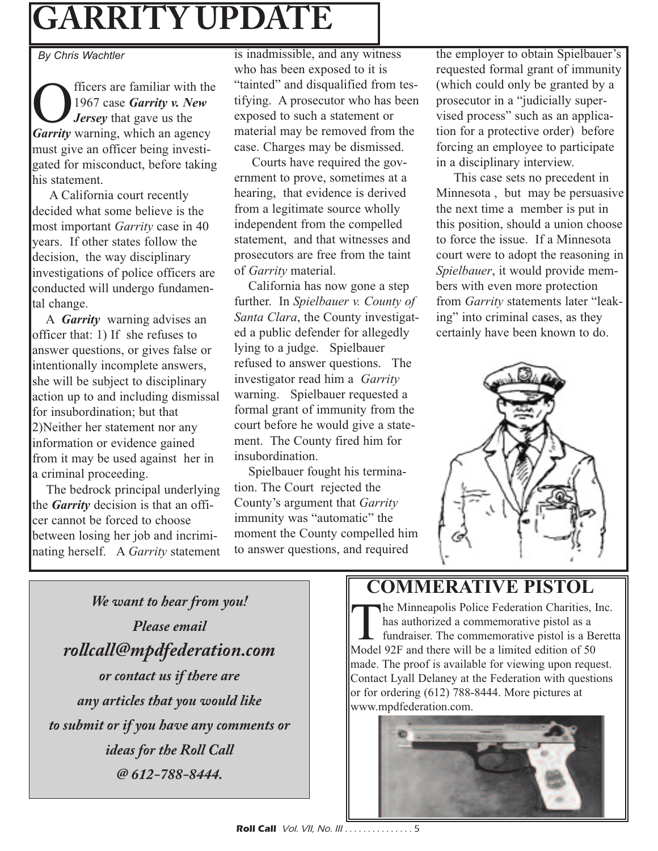# **GARRITY UPDATE**

*By Chris Wachtler*

Officers are familiar with the *Garrity* warning, which an agency 1967 case *Garrity v. New Jersey* that gave us the must give an officer being investigated for misconduct, before taking his statement.

A California court recently decided what some believe is the most important *Garrity* case in 40 years. If other states follow the decision, the way disciplinary investigations of police officers are conducted will undergo fundamental change.

A *Garrity* warning advises an officer that: 1) If she refuses to answer questions, or gives false or intentionally incomplete answers, she will be subject to disciplinary action up to and including dismissal for insubordination; but that 2)Neither her statement nor any information or evidence gained from it may be used against her in a criminal proceeding.

The bedrock principal underlying the *Garrity* decision is that an officer cannot be forced to choose between losing her job and incriminating herself. A *Garrity* statement is inadmissible, and any witness who has been exposed to it is "tainted" and disqualified from testifying. A prosecutor who has been exposed to such a statement or material may be removed from the case. Charges may be dismissed.

Courts have required the government to prove, sometimes at a hearing, that evidence is derived from a legitimate source wholly independent from the compelled statement, and that witnesses and prosecutors are free from the taint of *Garrity* material.

California has now gone a step further. In *Spielbauer v. County of Santa Clara*, the County investigated a public defender for allegedly lying to a judge. Spielbauer refused to answer questions. The investigator read him a *Garrity* warning. Spielbauer requested a formal grant of immunity from the court before he would give a statement. The County fired him for insubordination.

Spielbauer fought his termination. The Court rejected the County's argument that *Garrity* immunity was "automatic" the moment the County compelled him to answer questions, and required

the employer to obtain Spielbauer's requested formal grant of immunity (which could only be granted by a prosecutor in a "judicially supervised process" such as an application for a protective order) before forcing an employee to participate in a disciplinary interview.

This case sets no precedent in Minnesota , but may be persuasive the next time a member is put in this position, should a union choose to force the issue. If a Minnesota court were to adopt the reasoning in *Spielbauer*, it would provide members with even more protection from *Garrity* statements later "leaking" into criminal cases, as they certainly have been known to do.



# **COMMERATIVE PISTOL**

The Minneapolis Police Federation Charities, Inc.<br>has authorized a commemorative pistol as a<br>fundraiser. The commemorative pistol is a Beret<br>Model 92E and there will be a limited edition of 50 has authorized a commemorative pistol as a fundraiser. The commemorative pistol is a Beretta Model 92F and there will be a limited edition of 50 made. The proof is available for viewing upon request. Contact Lyall Delaney at the Federation with questions or for ordering (612) 788-8444. More pictures at www.mpdfederation.com.



*We want to hear from you! Please email rollcall@mpdfederation.com or contact us if there are any articles that you would like to submit or if you have any comments or ideas for the Roll Call @ 612-788-8444.*